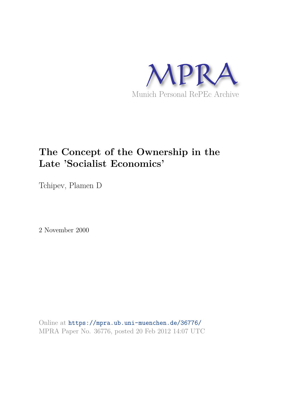

# **The Concept of the Ownership in the Late 'Socialist Economics'**

Tchipev, Plamen D

2 November 2000

Online at https://mpra.ub.uni-muenchen.de/36776/ MPRA Paper No. 36776, posted 20 Feb 2012 14:07 UTC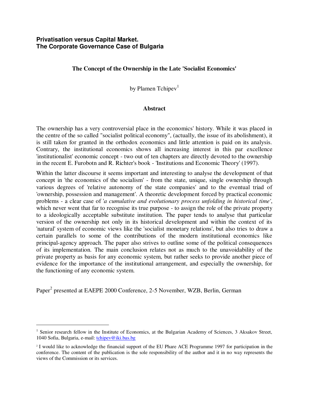# **Privatisation versus Capital Market. The Corporate Governance Case of Bulgaria**

# **The Concept of the Ownership in the Late 'Socialist Economics'**

by Plamen Tchipev<sup>1</sup>

## **Abstract**

The ownership has a very controversial place in the economics' history. While it was placed in the centre of the so called "socialist political economy", (actually, the issue of its abolishment), it is still taken for granted in the orthodox economics and little attention is paid on its analysis. Contrary, the institutional economics shows all increasing interest in this par excellence 'institutionalist' economic concept - two out of ten chapters are directly devoted to the ownership in the recent E. Furobotn and R. Richter's book - 'Institutions and Economic Theory' (1997).

Within the latter discourse it seems important and interesting to analyse the development of that concept in 'the economics of the socialism' - from the state, unique, single ownership through various degrees of 'relative autonomy of the state companies' and to the eventual triad of 'ownership, possession and management'. A theoretic development forced by practical economic problems - a clear case of '*a cumulative and evolutionary process unfolding in historical time'*, which never went that far to recognise its true purpose - to assign the role of the private property to a ideologically acceptable substitute institution. The paper tends to analyse that particular version of the ownership not only in its historical development and within the context of its 'natural' system of economic views like the 'socialist monetary relations', but also tries to draw a certain parallels to some of the contributions of the modern institutional economics like principal-agency approach. The paper also strives to outline some of the political consequences of its implementation. The main conclusion relates not as much to the unavoidability of the private property as basis for any economic system, but rather seeks to provide another piece of evidence for the importance of the institutional arrangement, and especially the ownership, for the functioning of any economic system.

Paper<sup>2</sup> presented at EAEPE 2000 Conference, 2-5 November, WZB, Berlin, German

 $\overline{a}$ 

<sup>&</sup>lt;sup>1</sup> Senior research fellow in the Institute of Economics, at the Bulgarian Academy of Sciences, 3 Aksakov Street, 1040 Sofia, Bulgaria, e-mail: [tchipev@iki.bas.bg](mailto:tchipev@iki.bas.bg) 

<sup>2</sup> I would like to acknowledge the financial support of the EU Phare ACE Programme 1997 for participation in the conference. The content of the publication is the sole responsibility of the author and it in no way represents the views of the Commission or its services.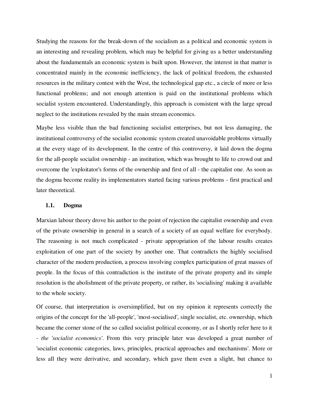Studying the reasons for the break-down of the socialism as a political and economic system is an interesting and revealing problem, which may be helpful for giving us a better understanding about the fundamentals an economic system is built upon. However, the interest in that matter is concentrated mainly in the economic inefficiency, the lack of political freedom, the exhausted resources in the military contest with the West, the technological gap etc., a circle of more or less functional problems; and not enough attention is paid on the institutional problems which socialist system encountered. Understandingly, this approach is consistent with the large spread neglect to the institutions revealed by the main stream economics.

Maybe less visible than the bad functioning socialist enterprises, but not less damaging, the institutional controversy of the socialist economic system created unavoidable problems virtually at the every stage of its development. In the centre of this controversy, it laid down the dogma for the all-people socialist ownership - an institution, which was brought to life to crowd out and overcome the 'exploitator's forms of the ownership and first of all - the capitalist one. As soon as the dogma become reality its implementators started facing various problems - first practical and later theoretical.

#### **1.1. Dogma**

Marxian labour theory drove his author to the point of rejection the capitalist ownership and even of the private ownership in general in a search of a society of an equal welfare for everybody. The reasoning is not much complicated - private appropriation of the labour results creates exploitation of one part of the society by another one. That contradicts the highly socialised character of the modern production, a process involving complex participation of great masses of people. In the focus of this contradiction is the institute of the private property and its simple resolution is the abolishment of the private property, or rather, its 'socialising' making it available to the whole society.

Of course, that interpretation is oversimplified, but on my opinion it represents correctly the origins of the concept for the 'all-people', 'most-socialised', single socialist, etc. ownership, which became the corner stone of the so called socialist political economy, or as I shortly refer here to it - *the 'socialist economics'*. From this very principle later was developed a great number of 'socialist economic categories, laws, principles, practical approaches and mechanisms'. More or less all they were derivative, and secondary, which gave them even a slight, but chance to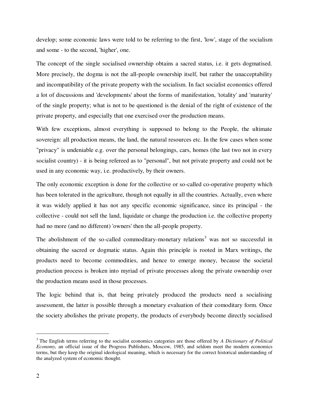develop; some economic laws were told to be referring to the first, 'low', stage of the socialism and some - to the second, 'higher', one.

The concept of the single socialised ownership obtains a sacred status, i.e. it gets dogmatised. More precisely, the dogma is not the all-people ownership itself, but rather the unacceptability and incompatibility of the private property with the socialism. In fact socialist economics offered a lot of discussions and 'developments' about the forms of manifestation, 'totality' and 'maturity' of the single property; what is not to be questioned is the denial of the right of existence of the private property, and especially that one exercised over the production means.

With few exceptions, almost everything is supposed to belong to the People, the ultimate sovereign: all production means, the land, the natural resources etc. In the few cases when some "privacy" is undeniable e.g. over the personal belongings, cars, homes (the last two not in every socialist country) - it is being refereed as to "personal", but not private property and could not be used in any economic way, i.e. productively, by their owners.

The only economic exception is done for the collective or so-called co-operative property which has been tolerated in the agriculture, though not equally in all the countries. Actually, even where it was widely applied it has not any specific economic significance, since its principal - the collective - could not sell the land, liquidate or change the production i.e. the collective property had no more (and no different) 'owners' then the all-people property.

The abolishment of the so-called commoditary-monetary relations<sup>3</sup> was not so successful in obtaining the sacred or dogmatic status. Again this principle is rooted in Marx writings, the products need to become commodities, and hence to emerge money, because the societal production process is broken into myriad of private processes along the private ownership over the production means used in those processes.

The logic behind that is, that being privately produced the products need a socialising assessment, the latter is possible through a monetary evaluation of their comoditary form. Once the society abolishes the private property, the products of everybody become directly socialised

 $\overline{a}$ 

<sup>3</sup>The English terms referring to the socialist economics categories are those offered by *A Dictionary of Political Economy,* an official issue of the Progress Publishers, Moscow, 1985, and seldom meet the modern economics terms, but they keep the original ideological meaning, which is necessary for the correct historical understanding of the analyzed system of economic thought.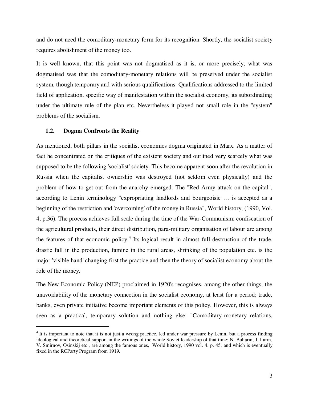and do not need the comoditary-monetary form for its recognition. Shortly, the socialist society requires abolishment of the money too.

It is well known, that this point was not dogmatised as it is, or more precisely, what was dogmatised was that the comoditary-monetary relations will be preserved under the socialist system, though temporary and with serious qualifications. Qualifications addressed to the limited field of application, specific way of manifestation within the socialist economy, its subordinating under the ultimate rule of the plan etc. Nevertheless it played not small role in the "system" problems of the socialism.

## **1.2. Dogma Confronts the Reality**

 $\overline{a}$ 

As mentioned, both pillars in the socialist economics dogma originated in Marx. As a matter of fact he concentrated on the critiques of the existent society and outlined very scarcely what was supposed to be the following 'socialist' society. This become apparent soon after the revolution in Russia when the capitalist ownership was destroyed (not seldom even physically) and the problem of how to get out from the anarchy emerged. The "Red-Army attack on the capital", according to Lenin terminology "expropriating landlords and bourgeoisie … is accepted as a beginning of the restriction and 'overcoming' of the money in Russia", World history, (1990, Vol. 4, p.36). The process achieves full scale during the time of the War-Communism; confiscation of the agricultural products, their direct distribution, para-military organisation of labour are among the features of that economic policy.<sup>4</sup> Its logical result in almost full destruction of the trade, drastic fall in the production, famine in the rural areas, shrinking of the population etc. is the major 'visible hand' changing first the practice and then the theory of socialist economy about the role of the money.

The New Economic Policy (NEP) proclaimed in 1920's recognises, among the other things, the unavoidability of the monetary connection in the socialist economy, at least for a period; trade, banks, even private initiative become important elements of this policy. However, this is always seen as a practical, temporary solution and nothing else: "Comoditary-monetary relations,

 $<sup>4</sup>$  It is important to note that it is not just a wrong practice, led under war pressure by Lenin, but a process finding</sup> ideological and theoretical support in the writings of the whole Soviet leadership of that time; N. Buharin, J. Larin, V. Smirnov, Osinskij etc., are among the famous ones, World history, 1990 vol. 4. p. 45, and which is eventually fixed in the RCParty Program from 1919.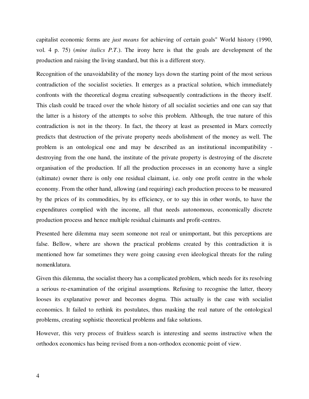capitalist economic forms are *just means* for achieving of certain goals" World history (1990, vol. 4 p. 75) (*mine italics P.T*.). The irony here is that the goals are development of the production and raising the living standard, but this is a different story.

Recognition of the unavoidability of the money lays down the starting point of the most serious contradiction of the socialist societies. It emerges as a practical solution, which immediately confronts with the theoretical dogma creating subsequently contradictions in the theory itself. This clash could be traced over the whole history of all socialist societies and one can say that the latter is a history of the attempts to solve this problem. Although, the true nature of this contradiction is not in the theory. In fact, the theory at least as presented in Marx correctly predicts that destruction of the private property needs abolishment of the money as well. The problem is an ontological one and may be described as an institutional incompatibility destroying from the one hand, the institute of the private property is destroying of the discrete organisation of the production. If all the production processes in an economy have a single (ultimate) owner there is only one residual claimant, i.e. only one profit centre in the whole economy. From the other hand, allowing (and requiring) each production process to be measured by the prices of its commodities, by its efficiency, or to say this in other words, to have the expenditures complied with the income, all that needs autonomous, economically discrete production process and hence multiple residual claimants and profit-centres.

Presented here dilemma may seem someone not real or unimportant, but this perceptions are false. Bellow, where are shown the practical problems created by this contradiction it is mentioned how far sometimes they were going causing even ideological threats for the ruling nomenklatura.

Given this dilemma, the socialist theory has a complicated problem, which needs for its resolving a serious re-examination of the original assumptions. Refusing to recognise the latter, theory looses its explanative power and becomes dogma. This actually is the case with socialist economics. It failed to rethink its postulates, thus masking the real nature of the ontological problems, creating sophistic theoretical problems and fake solutions.

However, this very process of fruitless search is interesting and seems instructive when the orthodox economics has being revised from a non-orthodox economic point of view.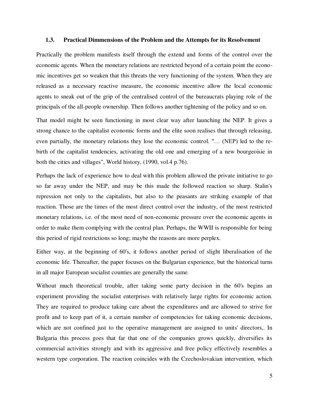#### **1.3. Practical Dimmensions of the Problem and the Attempts for its Resolvement**

Practically the problem manifests itself through the extend and forms of the control over the economic agents. When the monetary relations are restricted beyond of a certain point the economic incentives get so weaken that this threats the very functioning of the system. When they are released as a necessary reactive measure, the economic incentive allow the local economic agents to sneak out of the grip of the centralised control of the bureaucrats playing role of the principals of the all-people ownership. Then follows another tightening of the policy and so on.

That model might be seen functioning in most clear way after launching the NEP. It gives a strong chance to the capitalist economic forms and the elite soon realises that through releasing, even partially, the monetary relations they lose the economic control. "… (NEP) led to the rebirth of the capitalist tendencies, activating the old one and emerging of a new bourgeoisie in both the cities and villages", World history, (1990, vol.4 p.76).

Perhaps the lack of experience how to deal with this problem allowed the private initiative to go so far away under the NEP, and may be this made the followed reaction so sharp. Stalin's repression not only to the capitalists, but also to the peasants are striking example of that reaction. Those are the times of the most direct control over the industry, of the most restricted monetary relations, i.e. of the most need of non-economic pressure over the economic agents in order to make them complying with the central plan. Perhaps, the WWII is responsible for being this period of rigid restrictions so long; maybe the reasons are more perplex.

Either way, at the beginning of 60's, it follows another period of slight liberalisation of the economic life. Thereafter, the paper focuses on the Bulgarian experience, but the historical turns in all major European socialist counties are generally the same.

Without much theoretical trouble, after taking some party decision in the 60's begins an experiment providing the socialist enterprises with relatively large rights for economic action. They are required to produce taking care about the expenditures and are allowed to strive for profit and to keep part of it, a certain number of competencies for taking economic decisions, which are not confined just to the operative management are assigned to units' directors,. In Bulgaria this process goes that far that one of the companies grows quickly, diversifies its commercial activities strongly and with its aggressive and free policy effectively resembles a western type corporation. The reaction coincides with the Czechoslovakian intervention, which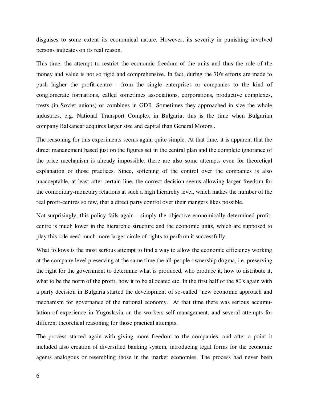disguises to some extent its economical nature. However, its severity in punishing involved persons indicates on its real reason.

This time, the attempt to restrict the economic freedom of the units and thus the role of the money and value is not so rigid and comprehensive. In fact, during the 70's efforts are made to push higher the profit-centre - from the single enterprises or companies to the kind of conglomerate formations, called sometimes associations, corporations, productive complexes, trests (in Soviet unions) or combines in GDR. Sometimes they approached in size the whole industries, e.g. National Transport Complex in Bulgaria; this is the time when Bulgarian company Balkancar acquires larger size and capital than General Motors..

The reasoning for this experiments seems again quite simple. At that time, it is apparent that the direct management based just on the figures set in the central plan and the complete ignorance of the price mechanism is already impossible; there are also some attempts even for theoretical explanation of those practices. Since, softening of the control over the companies is also unacceptable, at least after certain line, the correct decision seems allowing larger freedom for the comoditary-monetary relations at such a high hierarchy level, which makes the number of the real profit-centres so few, that a direct party control over their mangers likes possible.

Not-surprisingly, this policy fails again - simply the objective economically determined profitcentre is much lower in the hierarchic structure and the economic units, which are supposed to play this role need much more larger circle of rights to perform it successfully.

What follows is the most serious attempt to find a way to allow the economic efficiency working at the company level preserving at the same time the all-people ownership dogma, i.e. preserving the right for the government to determine what is produced, who produce it, how to distribute it, what to be the norm of the profit, how it to be allocated etc. In the first half of the 80's again with a party decision in Bulgaria started the development of so-called "new economic approach and mechanism for governance of the national economy." At that time there was serious accumulation of experience in Yugoslavia on the workers self-management, and several attempts for different theoretical reasoning for those practical attempts.

The process started again with giving more freedom to the companies, and after a point it included also creation of diversified banking system, introducing legal forms for the economic agents analogous or resembling those in the market economies. The process had never been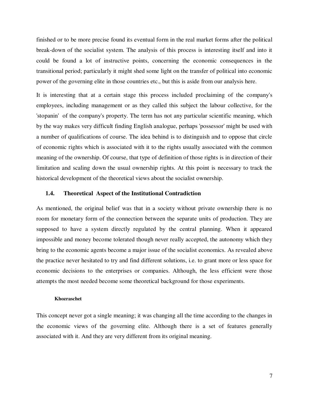finished or to be more precise found its eventual form in the real market forms after the political break-down of the socialist system. The analysis of this process is interesting itself and into it could be found a lot of instructive points, concerning the economic consequences in the transitional period; particularly it might shed some light on the transfer of political into economic power of the governing elite in those countries etc., but this is aside from our analysis here.

It is interesting that at a certain stage this process included proclaiming of the company's employees, including management or as they called this subject the labour collective, for the 'stopanin' of the company's property. The term has not any particular scientific meaning, which by the way makes very difficult finding English analogue, perhaps 'possessor' might be used with a number of qualifications of course. The idea behind is to distinguish and to oppose that circle of economic rights which is associated with it to the rights usually associated with the common meaning of the ownership. Of course, that type of definition of those rights is in direction of their limitation and scaling down the usual ownership rights. At this point is necessary to track the historical development of the theoretical views about the socialist ownership.

#### **1.4. Theoretical Aspect of the Institutional Contradiction**

As mentioned, the original belief was that in a society without private ownership there is no room for monetary form of the connection between the separate units of production. They are supposed to have a system directly regulated by the central planning. When it appeared impossible and money become tolerated though never really accepted, the autonomy which they bring to the economic agents become a major issue of the socialist economics. As revealed above the practice never hesitated to try and find different solutions, i.e. to grant more or less space for economic decisions to the enterprises or companies. Although, the less efficient were those attempts the most needed become some theoretical background for those experiments.

#### **Khozraschet**

This concept never got a single meaning; it was changing all the time according to the changes in the economic views of the governing elite. Although there is a set of features generally associated with it. And they are very different from its original meaning.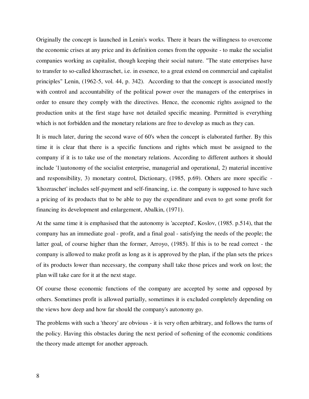Originally the concept is launched in Lenin's works. There it bears the willingness to overcome the economic crises at any price and its definition comes from the opposite - to make the socialist companies working as capitalist, though keeping their social nature. "The state enterprises have to transfer to so-called khozraschet, i.e. in essence, to a great extend on commercial and capitalist principles" Lenin, (1962-5, vol. 44, p. 342). According to that the concept is associated mostly with control and accountability of the political power over the managers of the enterprises in order to ensure they comply with the directives. Hence, the economic rights assigned to the production units at the first stage have not detailed specific meaning. Permitted is everything which is not forbidden and the monetary relations are free to develop as much as they can.

It is much later, during the second wave of 60's when the concept is elaborated further. By this time it is clear that there is a specific functions and rights which must be assigned to the company if it is to take use of the monetary relations. According to different authors it should include '1)autonomy of the socialist enterprise, managerial and operational, 2) material incentive and responsibility, 3) monetary control, Dictionary, (1985, p.69). Others are more specific - 'khozraschet' includes self-payment and self-financing, i.e. the company is supposed to have such a pricing of its products that to be able to pay the expenditure and even to get some profit for financing its development and enlargement, Abalkin, (1971).

At the same time it is emphasised that the autonomy is 'accepted', Koslov, (1985. p.514), that the company has an immediate goal - profit, and a final goal - satisfying the needs of the people; the latter goal, of course higher than the former, Arroyo, (1985). If this is to be read correct - the company is allowed to make profit as long as it is approved by the plan, if the plan sets the prices of its products lower than necessary, the company shall take those prices and work on lost; the plan will take care for it at the next stage.

Of course those economic functions of the company are accepted by some and opposed by others. Sometimes profit is allowed partially, sometimes it is excluded completely depending on the views how deep and how far should the company's autonomy go.

The problems with such a 'theory' are obvious - it is very often arbitrary, and follows the turns of the policy. Having this obstacles during the next period of softening of the economic conditions the theory made attempt for another approach.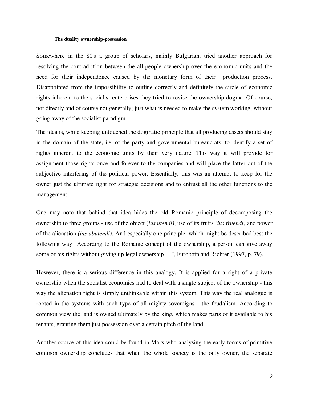#### **The duality ownership-possession**

Somewhere in the 80's a group of scholars, mainly Bulgarian, tried another approach for resolving the contradiction between the all-people ownership over the economic units and the need for their independence caused by the monetary form of their production process. Disappointed from the impossibility to outline correctly and definitely the circle of economic rights inherent to the socialist enterprises they tried to revise the ownership dogma. Of course, not directly and of course not generally; just what is needed to make the system working, without going away of the socialist paradigm.

The idea is, while keeping untouched the dogmatic principle that all producing assets should stay in the domain of the state, i.e. of the party and governmental bureaucrats, to identify a set of rights inherent to the economic units by their very nature. This way it will provide for assignment those rights once and forever to the companies and will place the latter out of the subjective interfering of the political power. Essentially, this was an attempt to keep for the owner just the ultimate right for strategic decisions and to entrust all the other functions to the management.

One may note that behind that idea hides the old Romanic principle of decomposing the ownership to three groups - use of the object (*ius utendi)*, use of its fruits *(ius fruendi)* and power of the alienation *(ius abutendi)*. And especially one principle, which might be described best the following way "According to the Romanic concept of the ownership, a person can give away some of his rights without giving up legal ownership… ", Furobotn and Richter (1997, p. 79).

However, there is a serious difference in this analogy. It is applied for a right of a private ownership when the socialist economics had to deal with a single subject of the ownership - this way the alienation right is simply unthinkable within this system. This way the real analogue is rooted in the systems with such type of all-mighty sovereigns - the feudalism. According to common view the land is owned ultimately by the king, which makes parts of it available to his tenants, granting them just possession over a certain pitch of the land.

Another source of this idea could be found in Marx who analysing the early forms of primitive common ownership concludes that when the whole society is the only owner, the separate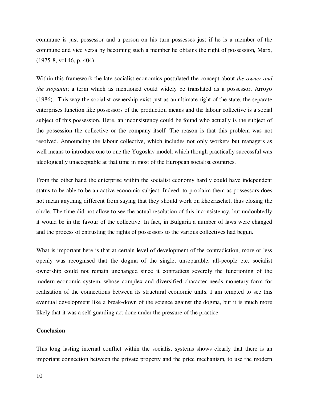commune is just possessor and a person on his turn possesses just if he is a member of the commune and vice versa by becoming such a member he obtains the right of possession, Marx, (1975-8, vol.46, p. 404).

Within this framework the late socialist economics postulated the concept about *the owner and the stopanin*; a term which as mentioned could widely be translated as a possessor, Arroyo (1986). This way the socialist ownership exist just as an ultimate right of the state, the separate enterprises function like possessors of the production means and the labour collective is a social subject of this possession. Here, an inconsistency could be found who actually is the subject of the possession the collective or the company itself. The reason is that this problem was not resolved. Announcing the labour collective, which includes not only workers but managers as well means to introduce one to one the Yugoslav model, which though practically successful was ideologically unacceptable at that time in most of the European socialist countries.

From the other hand the enterprise within the socialist economy hardly could have independent status to be able to be an active economic subject. Indeed, to proclaim them as possessors does not mean anything different from saying that they should work on khozraschet, thus closing the circle. The time did not allow to see the actual resolution of this inconsistency, but undoubtedly it would be in the favour of the collective. In fact, in Bulgaria a number of laws were changed and the process of entrusting the rights of possessors to the various collectives had begun.

What is important here is that at certain level of development of the contradiction, more or less openly was recognised that the dogma of the single, unseparable, all-people etc. socialist ownership could not remain unchanged since it contradicts severely the functioning of the modern economic system, whose complex and diversified character needs monetary form for realisation of the connections between its structural economic units. I am tempted to see this eventual development like a break-down of the science against the dogma, but it is much more likely that it was a self-guarding act done under the pressure of the practice.

## **Conclusion**

This long lasting internal conflict within the socialist systems shows clearly that there is an important connection between the private property and the price mechanism, to use the modern